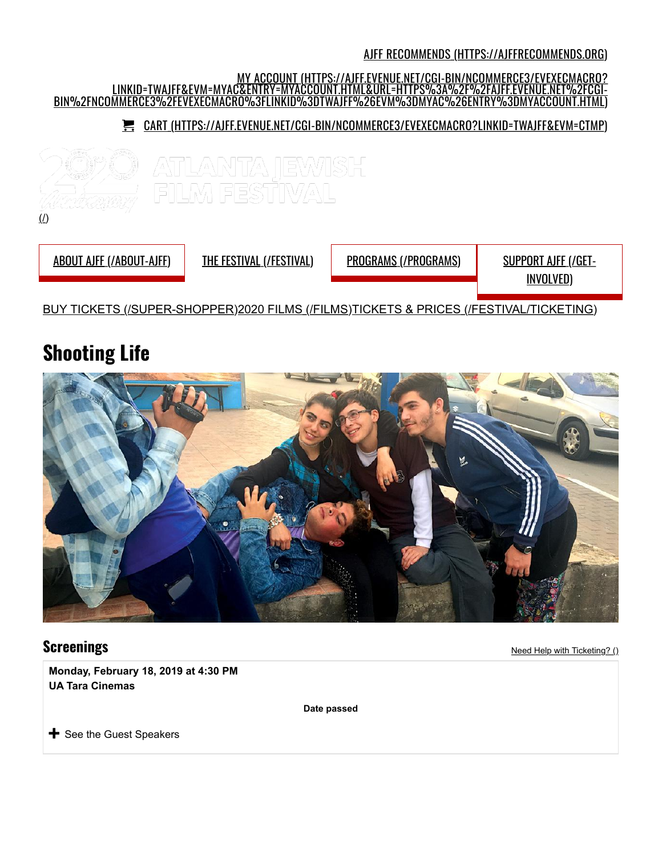#### AJFF RECOMMENDS (HTTPS://AJFFRECOMMENDS.ORG)



# **Shooting Life**



**Screenings** Need Help with Ticketing? ()

**Monday, February 18, 2019 at 4:30 PM UA Tara Cinemas**

**Date passed**

 $\bigstar$  See the Guest Speakers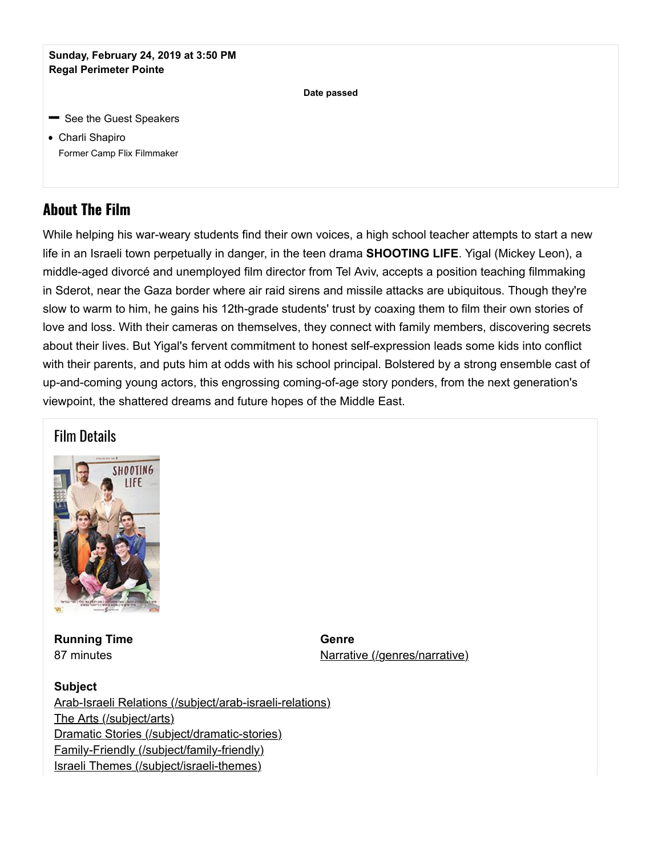#### **Sunday, February 24, 2019 at 3:50 PM Regal Perimeter Pointe**

**Date passed**

- **See the Guest Speakers**
- Charli Shapiro Former Camp Flix Filmmaker

# **About The Film**

While helping his war-weary students find their own voices, a high school teacher attempts to start a new life in an Israeli town perpetually in danger, in the teen drama **SHOOTING LIFE**. Yigal (Mickey Leon), a middle-aged divorcé and unemployed film director from Tel Aviv, accepts a position teaching filmmaking in Sderot, near the Gaza border where air raid sirens and missile attacks are ubiquitous. Though they're slow to warm to him, he gains his 12th-grade students' trust by coaxing them to film their own stories of love and loss. With their cameras on themselves, they connect with family members, discovering secrets about their lives. But Yigal's fervent commitment to honest self-expression leads some kids into conflict with their parents, and puts him at odds with his school principal. Bolstered by a strong ensemble cast of up-and-coming young actors, this engrossing coming-of-age story ponders, from the next generation's viewpoint, the shattered dreams and future hopes of the Middle East.

## Film Details



**Running Time**  87 minutes

**Genre**  Narrative (/genres/narrative)

**Subject**  Arab-Israeli Relations (/subject/arab-israeli-relations) The Arts (/subject/arts) Dramatic Stories (/subject/dramatic-stories) Family-Friendly (/subject/family-friendly) Israeli Themes (/subject/israeli-themes)